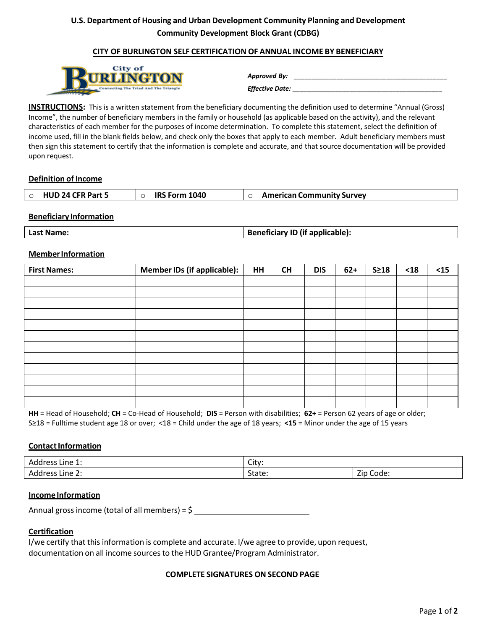# **U.S. Department of Housing and Urban Development Community Planning and Development Community Development Block Grant (CDBG)**

### **CITY OF BURLINGTON SELF CERTIFICATION OF ANNUAL INCOME BY BENEFICIARY**



| Approved By:    |  |
|-----------------|--|
| Effective Date: |  |

**INSTRUCTIONS:** This is a written statement from the beneficiary documenting the definition used to determine "Annual (Gross) Income", the number of beneficiary members in the family or household (as applicable based on the activity), and the relevant characteristics of each member for the purposes of income determination. To complete this statement, select the definition of income used, fill in the blank fields below, and check only the boxes that apply to each member. Adult beneficiary members must then sign this statement to certify that the information is complete and accurate, and that source documentation will be provided upon request.

### **Definition of Income**

### **Beneficiary Information**

| <b>Name</b><br>∟ast | . ID (if applicable);<br>Danafisiam. |
|---------------------|--------------------------------------|
|---------------------|--------------------------------------|

#### **Member Information**

| <b>First Names:</b> | <b>Member IDs (if applicable):</b> | <b>HH</b> | <b>CH</b> | <b>DIS</b> | $62+$ | $S \geq 18$ | $18$ | $15$ |
|---------------------|------------------------------------|-----------|-----------|------------|-------|-------------|------|------|
|                     |                                    |           |           |            |       |             |      |      |
|                     |                                    |           |           |            |       |             |      |      |
|                     |                                    |           |           |            |       |             |      |      |
|                     |                                    |           |           |            |       |             |      |      |
|                     |                                    |           |           |            |       |             |      |      |
|                     |                                    |           |           |            |       |             |      |      |
|                     |                                    |           |           |            |       |             |      |      |
|                     |                                    |           |           |            |       |             |      |      |
|                     |                                    |           |           |            |       |             |      |      |
|                     |                                    |           |           |            |       |             |      |      |
|                     |                                    |           |           |            |       |             |      |      |
|                     |                                    |           |           |            |       |             |      |      |

**HH** = Head of Household; **CH** = Co-Head of Household; **DIS** = Person with disabilities; **62+** = Person 62 years of age or older; S≥18 = Fulltime student age 18 or over; <18 = Child under the age of 18 years; **<15** = Minor under the age of 15 years

### **Contact Information**

| Addres<br>Line $1$ :<br>.<br>. | City:                   |                     |  |
|--------------------------------|-------------------------|---------------------|--|
| Addres<br>Line 2:<br>.<br>.    | $\sim$<br>$+$<br>state: | —.<br>Code:<br>ZID. |  |

#### **Income Information**

Annual gross income (total of all members) =  $\frac{6}{7}$ 

### **Certification**

I/we certify that this information is complete and accurate. I/we agree to provide, upon request, documentation on all income sources to the HUD Grantee/Program Administrator.

#### **COMPLETE SIGNATURES ON SECOND PAGE**